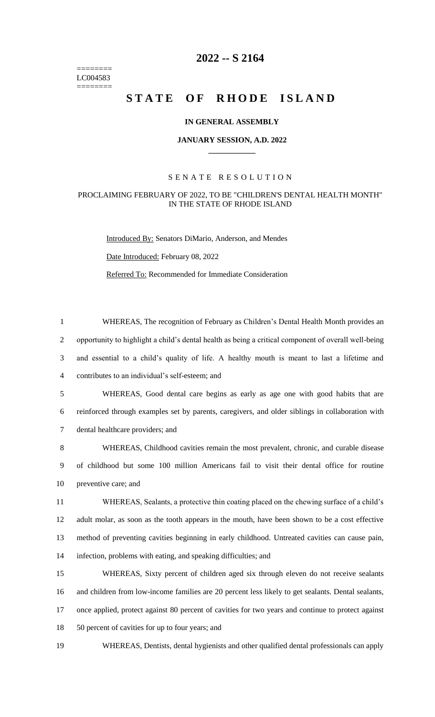======== LC004583 ========

## **2022 -- S 2164**

# STATE OF RHODE ISLAND

#### **IN GENERAL ASSEMBLY**

#### **JANUARY SESSION, A.D. 2022 \_\_\_\_\_\_\_\_\_\_\_\_**

### S E N A T E R E S O L U T I O N

#### PROCLAIMING FEBRUARY OF 2022, TO BE "CHILDREN'S DENTAL HEALTH MONTH" IN THE STATE OF RHODE ISLAND

Introduced By: Senators DiMario, Anderson, and Mendes Date Introduced: February 08, 2022 Referred To: Recommended for Immediate Consideration

 WHEREAS, The recognition of February as Children's Dental Health Month provides an opportunity to highlight a child's dental health as being a critical component of overall well-being and essential to a child's quality of life. A healthy mouth is meant to last a lifetime and contributes to an individual's self-esteem; and

5 WHEREAS, Good dental care begins as early as age one with good habits that are 6 reinforced through examples set by parents, caregivers, and older siblings in collaboration with 7 dental healthcare providers; and

8 WHEREAS, Childhood cavities remain the most prevalent, chronic, and curable disease 9 of childhood but some 100 million Americans fail to visit their dental office for routine 10 preventive care; and

 WHEREAS, Sealants, a protective thin coating placed on the chewing surface of a child's adult molar, as soon as the tooth appears in the mouth, have been shown to be a cost effective method of preventing cavities beginning in early childhood. Untreated cavities can cause pain, infection, problems with eating, and speaking difficulties; and

 WHEREAS, Sixty percent of children aged six through eleven do not receive sealants and children from low-income families are 20 percent less likely to get sealants. Dental sealants, once applied, protect against 80 percent of cavities for two years and continue to protect against 18 50 percent of cavities for up to four years; and

19 WHEREAS, Dentists, dental hygienists and other qualified dental professionals can apply